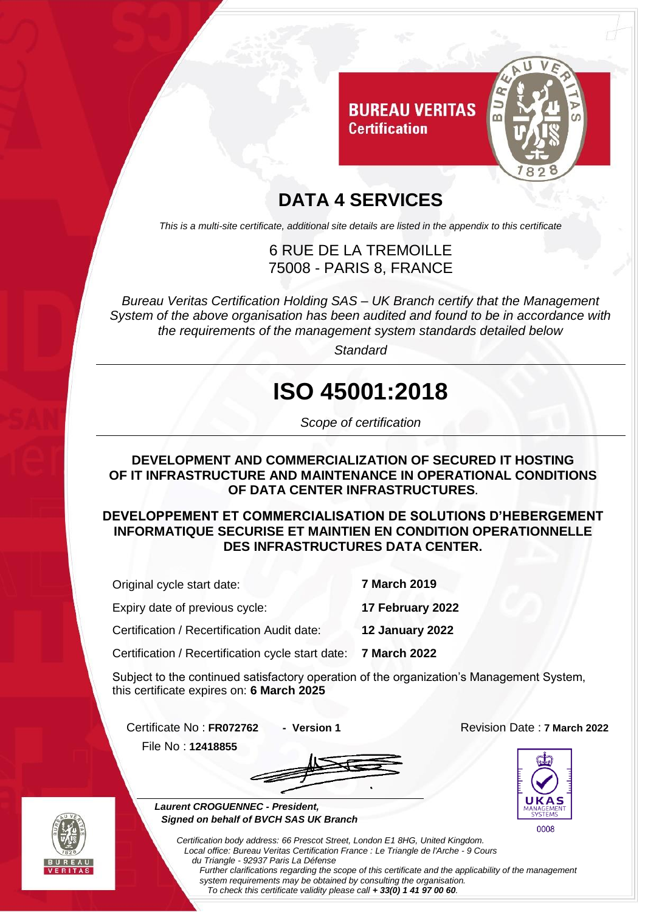

### **DATA 4 SERVICES**

*This is a multi-site certificate, additional site details are listed in the appendix to this certificate*

### 6 RUE DE LA TREMOILLE 75008 - PARIS 8, FRANCE

*Bureau Veritas Certification Holding SAS – UK Branch certify that the Management System of the above organisation has been audited and found to be in accordance with the requirements of the management system standards detailed below*

*Standard*

# **ISO 45001:2018**

*Scope of certification*

#### **DEVELOPMENT AND COMMERCIALIZATION OF SECURED IT HOSTING OF IT INFRASTRUCTURE AND MAINTENANCE IN OPERATIONAL CONDITIONS OF DATA CENTER INFRASTRUCTURES.**

**DEVELOPPEMENT ET COMMERCIALISATION DE SOLUTIONS D'HEBERGEMENT INFORMATIQUE SECURISE ET MAINTIEN EN CONDITION OPERATIONNELLE DES INFRASTRUCTURES DATA CENTER.**

| Original cycle start date:                        | <b>7 March 2019</b> |
|---------------------------------------------------|---------------------|
| Expiry date of previous cycle:                    | 17 February 2022    |
| Certification / Recertification Audit date:       | 12 January 2022     |
| Certification / Recertification cycle start date: | <b>7 March 2022</b> |

Subject to the continued satisfactory operation of the organization's Management System, this certificate expires on: **6 March 2025**

Certificate No : **FR072762 - Version 1** Revision Date : **7 March 2022** File No : **12418855**





 *Laurent CROGUENNEC - President, Signed on behalf of BVCH SAS UK Branch*

> *Local office: Bureau Veritas Certification France : Le Triangle de l'Arche - 9 Cours du Triangle - 92937 Paris La Défense Further clarifications regarding the scope of this certificate and the applicability of the management system requirements may be obtained by consulting the organisation.*

*Certification body address: 66 Prescot Street, London E1 8HG, United Kingdom.*

*To check this certificate validity please call + 33(0) 1 41 97 00 60.*